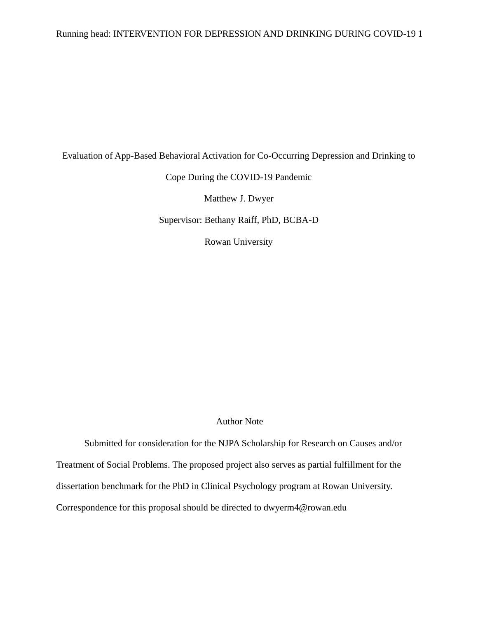# Running head: INTERVENTION FOR DEPRESSION AND DRINKING DURING COVID-19 1

Evaluation of App-Based Behavioral Activation for Co-Occurring Depression and Drinking to

## Cope During the COVID-19 Pandemic

Matthew J. Dwyer

Supervisor: Bethany Raiff, PhD, BCBA-D

Rowan University

## Author Note

Submitted for consideration for the NJPA Scholarship for Research on Causes and/or Treatment of Social Problems. The proposed project also serves as partial fulfillment for the dissertation benchmark for the PhD in Clinical Psychology program at Rowan University. Correspondence for this proposal should be directed to dwyerm4@rowan.edu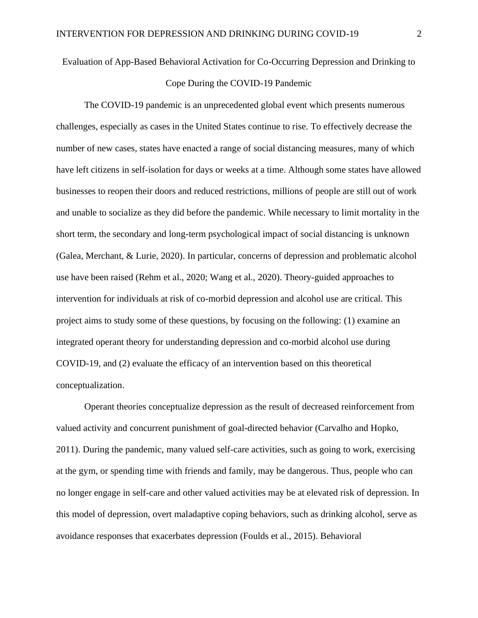# Evaluation of App-Based Behavioral Activation for Co-Occurring Depression and Drinking to Cope During the COVID-19 Pandemic

The COVID-19 pandemic is an unprecedented global event which presents numerous challenges, especially as cases in the United States continue to rise. To effectively decrease the number of new cases, states have enacted a range of social distancing measures, many of which have left citizens in self-isolation for days or weeks at a time. Although some states have allowed businesses to reopen their doors and reduced restrictions, millions of people are still out of work and unable to socialize as they did before the pandemic. While necessary to limit mortality in the short term, the secondary and long-term psychological impact of social distancing is unknown (Galea, Merchant, & Lurie, 2020). In particular, concerns of depression and problematic alcohol use have been raised (Rehm et al., 2020; Wang et al., 2020). Theory-guided approaches to intervention for individuals at risk of co-morbid depression and alcohol use are critical. This project aims to study some of these questions, by focusing on the following: (1) examine an integrated operant theory for understanding depression and co-morbid alcohol use during COVID-19, and (2) evaluate the efficacy of an intervention based on this theoretical conceptualization.

Operant theories conceptualize depression as the result of decreased reinforcement from valued activity and concurrent punishment of goal-directed behavior (Carvalho and Hopko, 2011). During the pandemic, many valued self-care activities, such as going to work, exercising at the gym, or spending time with friends and family, may be dangerous. Thus, people who can no longer engage in self-care and other valued activities may be at elevated risk of depression. In this model of depression, overt maladaptive coping behaviors, such as drinking alcohol, serve as avoidance responses that exacerbates depression (Foulds et al., 2015). Behavioral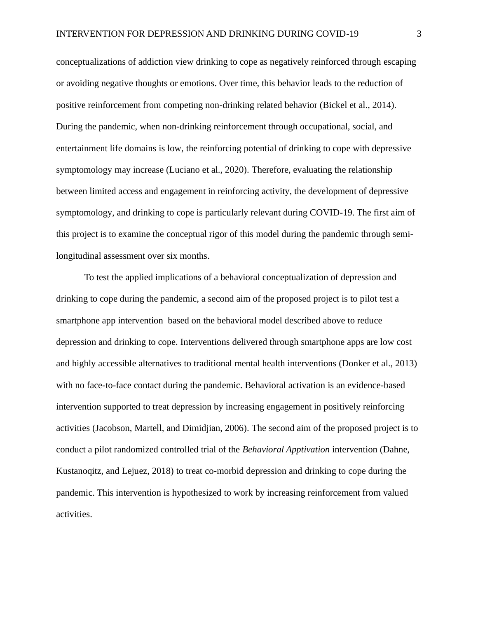conceptualizations of addiction view drinking to cope as negatively reinforced through escaping or avoiding negative thoughts or emotions. Over time, this behavior leads to the reduction of positive reinforcement from competing non-drinking related behavior (Bickel et al., 2014). During the pandemic, when non-drinking reinforcement through occupational, social, and entertainment life domains is low, the reinforcing potential of drinking to cope with depressive symptomology may increase (Luciano et al., 2020). Therefore, evaluating the relationship between limited access and engagement in reinforcing activity, the development of depressive symptomology, and drinking to cope is particularly relevant during COVID-19. The first aim of this project is to examine the conceptual rigor of this model during the pandemic through semilongitudinal assessment over six months.

To test the applied implications of a behavioral conceptualization of depression and drinking to cope during the pandemic, a second aim of the proposed project is to pilot test a smartphone app intervention based on the behavioral model described above to reduce depression and drinking to cope. Interventions delivered through smartphone apps are low cost and highly accessible alternatives to traditional mental health interventions (Donker et al., 2013) with no face-to-face contact during the pandemic. Behavioral activation is an evidence-based intervention supported to treat depression by increasing engagement in positively reinforcing activities (Jacobson, Martell, and Dimidjian, 2006). The second aim of the proposed project is to conduct a pilot randomized controlled trial of the *Behavioral Apptivation* intervention (Dahne, Kustanoqitz, and Lejuez, 2018) to treat co-morbid depression and drinking to cope during the pandemic. This intervention is hypothesized to work by increasing reinforcement from valued activities.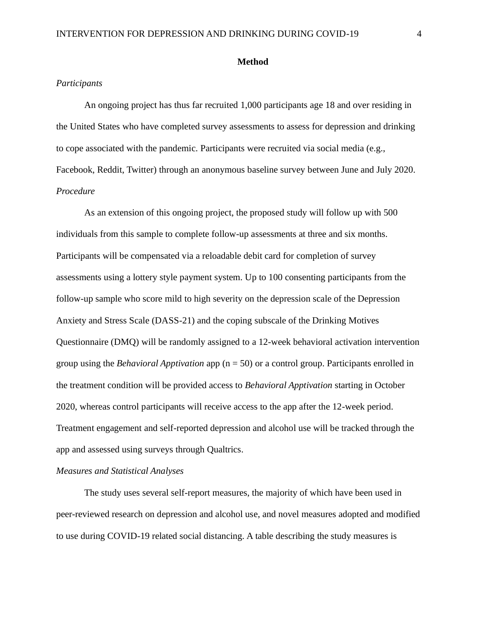#### **Method**

#### *Participants*

An ongoing project has thus far recruited 1,000 participants age 18 and over residing in the United States who have completed survey assessments to assess for depression and drinking to cope associated with the pandemic. Participants were recruited via social media (e.g., Facebook, Reddit, Twitter) through an anonymous baseline survey between June and July 2020. *Procedure*

As an extension of this ongoing project, the proposed study will follow up with 500 individuals from this sample to complete follow-up assessments at three and six months. Participants will be compensated via a reloadable debit card for completion of survey assessments using a lottery style payment system. Up to 100 consenting participants from the follow-up sample who score mild to high severity on the depression scale of the Depression Anxiety and Stress Scale (DASS-21) and the coping subscale of the Drinking Motives Questionnaire (DMQ) will be randomly assigned to a 12-week behavioral activation intervention group using the *Behavioral Apptivation* app (n = 50) or a control group. Participants enrolled in the treatment condition will be provided access to *Behavioral Apptivation* starting in October 2020, whereas control participants will receive access to the app after the 12-week period. Treatment engagement and self-reported depression and alcohol use will be tracked through the app and assessed using surveys through Qualtrics.

#### *Measures and Statistical Analyses*

The study uses several self-report measures, the majority of which have been used in peer-reviewed research on depression and alcohol use, and novel measures adopted and modified to use during COVID-19 related social distancing. A table describing the study measures is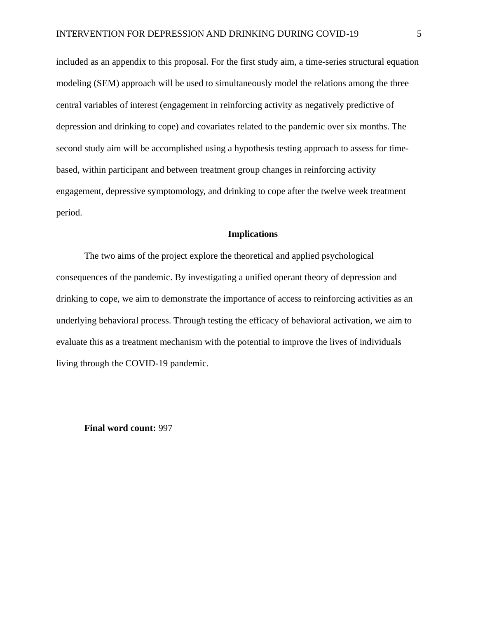included as an appendix to this proposal. For the first study aim, a time-series structural equation modeling (SEM) approach will be used to simultaneously model the relations among the three central variables of interest (engagement in reinforcing activity as negatively predictive of depression and drinking to cope) and covariates related to the pandemic over six months. The second study aim will be accomplished using a hypothesis testing approach to assess for timebased, within participant and between treatment group changes in reinforcing activity engagement, depressive symptomology, and drinking to cope after the twelve week treatment period.

#### **Implications**

The two aims of the project explore the theoretical and applied psychological consequences of the pandemic. By investigating a unified operant theory of depression and drinking to cope, we aim to demonstrate the importance of access to reinforcing activities as an underlying behavioral process. Through testing the efficacy of behavioral activation, we aim to evaluate this as a treatment mechanism with the potential to improve the lives of individuals living through the COVID-19 pandemic.

**Final word count:** 997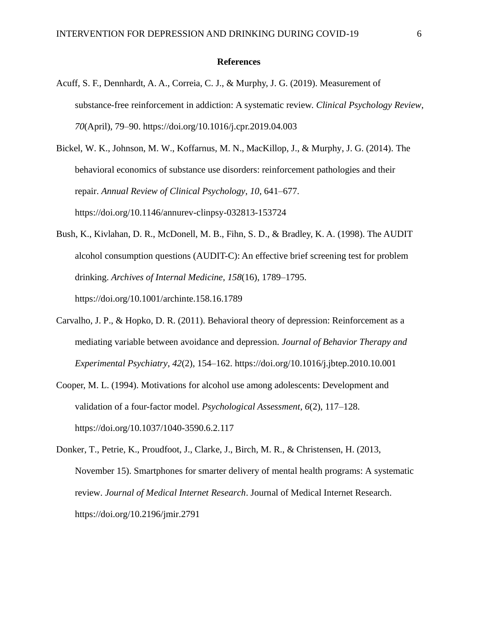#### **References**

Acuff, S. F., Dennhardt, A. A., Correia, C. J., & Murphy, J. G. (2019). Measurement of substance-free reinforcement in addiction: A systematic review. *Clinical Psychology Review*, *70*(April), 79–90. https://doi.org/10.1016/j.cpr.2019.04.003

Bickel, W. K., Johnson, M. W., Koffarnus, M. N., MacKillop, J., & Murphy, J. G. (2014). The behavioral economics of substance use disorders: reinforcement pathologies and their repair. *Annual Review of Clinical Psychology*, *10*, 641–677. https://doi.org/10.1146/annurev-clinpsy-032813-153724

- Bush, K., Kivlahan, D. R., McDonell, M. B., Fihn, S. D., & Bradley, K. A. (1998). The AUDIT alcohol consumption questions (AUDIT-C): An effective brief screening test for problem drinking. *Archives of Internal Medicine*, *158*(16), 1789–1795. https://doi.org/10.1001/archinte.158.16.1789
- Carvalho, J. P., & Hopko, D. R. (2011). Behavioral theory of depression: Reinforcement as a mediating variable between avoidance and depression. *Journal of Behavior Therapy and Experimental Psychiatry*, *42*(2), 154–162. https://doi.org/10.1016/j.jbtep.2010.10.001
- Cooper, M. L. (1994). Motivations for alcohol use among adolescents: Development and validation of a four-factor model. *Psychological Assessment*, *6*(2), 117–128. https://doi.org/10.1037/1040-3590.6.2.117

Donker, T., Petrie, K., Proudfoot, J., Clarke, J., Birch, M. R., & Christensen, H. (2013, November 15). Smartphones for smarter delivery of mental health programs: A systematic review. *Journal of Medical Internet Research*. Journal of Medical Internet Research. https://doi.org/10.2196/jmir.2791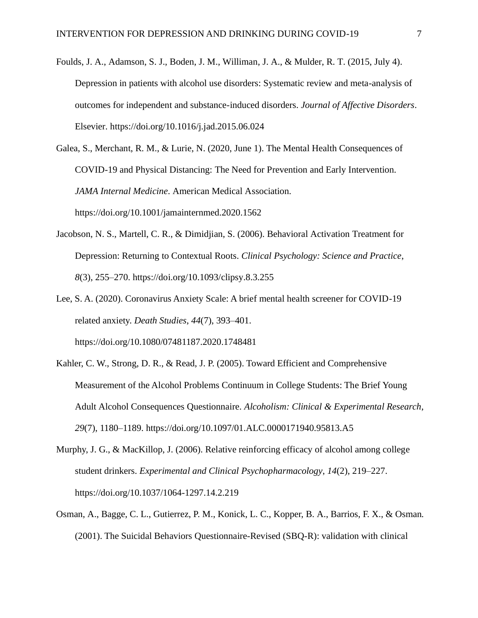Foulds, J. A., Adamson, S. J., Boden, J. M., Williman, J. A., & Mulder, R. T. (2015, July 4). Depression in patients with alcohol use disorders: Systematic review and meta-analysis of outcomes for independent and substance-induced disorders. *Journal of Affective Disorders*. Elsevier. https://doi.org/10.1016/j.jad.2015.06.024

Galea, S., Merchant, R. M., & Lurie, N. (2020, June 1). The Mental Health Consequences of COVID-19 and Physical Distancing: The Need for Prevention and Early Intervention. *JAMA Internal Medicine*. American Medical Association. https://doi.org/10.1001/jamainternmed.2020.1562

- Jacobson, N. S., Martell, C. R., & Dimidjian, S. (2006). Behavioral Activation Treatment for Depression: Returning to Contextual Roots. *Clinical Psychology: Science and Practice*, *8*(3), 255–270. https://doi.org/10.1093/clipsy.8.3.255
- Lee, S. A. (2020). Coronavirus Anxiety Scale: A brief mental health screener for COVID-19 related anxiety. *Death Studies*, *44*(7), 393–401. https://doi.org/10.1080/07481187.2020.1748481
- Kahler, C. W., Strong, D. R., & Read, J. P. (2005). Toward Efficient and Comprehensive Measurement of the Alcohol Problems Continuum in College Students: The Brief Young Adult Alcohol Consequences Questionnaire. *Alcoholism: Clinical & Experimental Research*, *29*(7), 1180–1189. https://doi.org/10.1097/01.ALC.0000171940.95813.A5
- Murphy, J. G., & MacKillop, J. (2006). Relative reinforcing efficacy of alcohol among college student drinkers. *Experimental and Clinical Psychopharmacology*, *14*(2), 219–227. https://doi.org/10.1037/1064-1297.14.2.219
- Osman, A., Bagge, C. L., Gutierrez, P. M., Konick, L. C., Kopper, B. A., Barrios, F. X., & Osman. (2001). The Suicidal Behaviors Questionnaire-Revised (SBQ-R): validation with clinical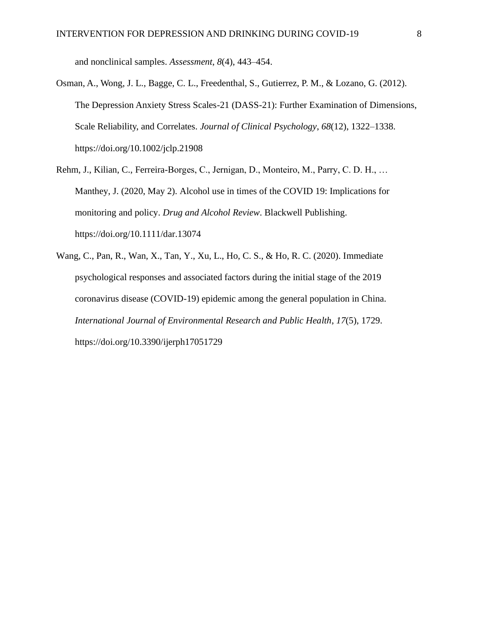and nonclinical samples. *Assessment*, *8*(4), 443–454.

- Osman, A., Wong, J. L., Bagge, C. L., Freedenthal, S., Gutierrez, P. M., & Lozano, G. (2012). The Depression Anxiety Stress Scales-21 (DASS-21): Further Examination of Dimensions, Scale Reliability, and Correlates. *Journal of Clinical Psychology*, *68*(12), 1322–1338. https://doi.org/10.1002/jclp.21908
- Rehm, J., Kilian, C., Ferreira-Borges, C., Jernigan, D., Monteiro, M., Parry, C. D. H., … Manthey, J. (2020, May 2). Alcohol use in times of the COVID 19: Implications for monitoring and policy. *Drug and Alcohol Review*. Blackwell Publishing. https://doi.org/10.1111/dar.13074
- Wang, C., Pan, R., Wan, X., Tan, Y., Xu, L., Ho, C. S., & Ho, R. C. (2020). Immediate psychological responses and associated factors during the initial stage of the 2019 coronavirus disease (COVID-19) epidemic among the general population in China. *International Journal of Environmental Research and Public Health*, *17*(5), 1729. https://doi.org/10.3390/ijerph17051729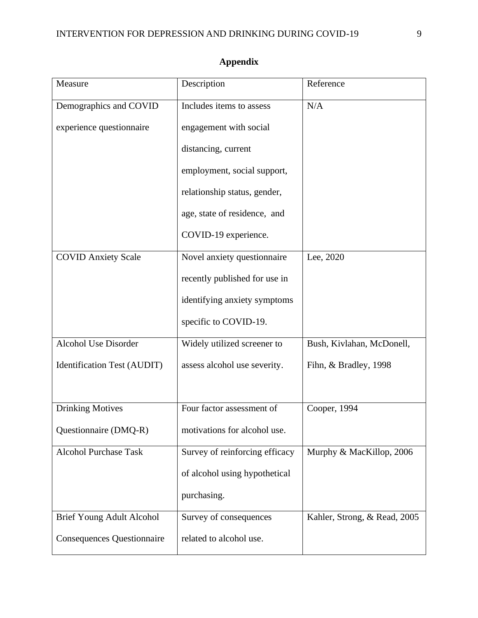| Measure                           | Description                    | Reference                    |
|-----------------------------------|--------------------------------|------------------------------|
| Demographics and COVID            | Includes items to assess       | N/A                          |
| experience questionnaire          | engagement with social         |                              |
|                                   | distancing, current            |                              |
|                                   | employment, social support,    |                              |
|                                   | relationship status, gender,   |                              |
|                                   | age, state of residence, and   |                              |
|                                   | COVID-19 experience.           |                              |
| <b>COVID Anxiety Scale</b>        | Novel anxiety questionnaire    | Lee, 2020                    |
|                                   | recently published for use in  |                              |
|                                   | identifying anxiety symptoms   |                              |
|                                   | specific to COVID-19.          |                              |
| <b>Alcohol Use Disorder</b>       | Widely utilized screener to    | Bush, Kivlahan, McDonell,    |
| Identification Test (AUDIT)       | assess alcohol use severity.   | Fihn, & Bradley, 1998        |
|                                   |                                |                              |
| <b>Drinking Motives</b>           | Four factor assessment of      | Cooper, 1994                 |
| Questionnaire (DMQ-R)             | motivations for alcohol use.   |                              |
| <b>Alcohol Purchase Task</b>      | Survey of reinforcing efficacy | Murphy & MacKillop, 2006     |
|                                   | of alcohol using hypothetical  |                              |
|                                   | purchasing.                    |                              |
| Brief Young Adult Alcohol         | Survey of consequences         | Kahler, Strong, & Read, 2005 |
| <b>Consequences Questionnaire</b> | related to alcohol use.        |                              |

# **Appendix**